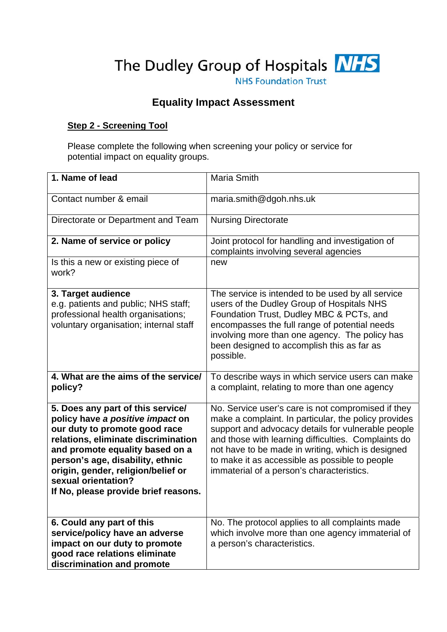The Dudley Group of Hospitals **NHS** 

**NHS Foundation Trust** 

# **Equality Impact Assessment**

### **Step 2 - Screening Tool**

Please complete the following when screening your policy or service for potential impact on equality groups.

| 1. Name of lead                                                                                                                                                                                                                                                                                                           | Maria Smith                                                                                                                                                                                                                                                                                                                                                                 |
|---------------------------------------------------------------------------------------------------------------------------------------------------------------------------------------------------------------------------------------------------------------------------------------------------------------------------|-----------------------------------------------------------------------------------------------------------------------------------------------------------------------------------------------------------------------------------------------------------------------------------------------------------------------------------------------------------------------------|
| Contact number & email                                                                                                                                                                                                                                                                                                    | maria.smith@dgoh.nhs.uk                                                                                                                                                                                                                                                                                                                                                     |
| Directorate or Department and Team                                                                                                                                                                                                                                                                                        | <b>Nursing Directorate</b>                                                                                                                                                                                                                                                                                                                                                  |
| 2. Name of service or policy                                                                                                                                                                                                                                                                                              | Joint protocol for handling and investigation of<br>complaints involving several agencies                                                                                                                                                                                                                                                                                   |
| Is this a new or existing piece of<br>work?                                                                                                                                                                                                                                                                               | new                                                                                                                                                                                                                                                                                                                                                                         |
| 3. Target audience<br>e.g. patients and public; NHS staff;<br>professional health organisations;<br>voluntary organisation; internal staff                                                                                                                                                                                | The service is intended to be used by all service<br>users of the Dudley Group of Hospitals NHS<br>Foundation Trust, Dudley MBC & PCTs, and<br>encompasses the full range of potential needs<br>involving more than one agency. The policy has<br>been designed to accomplish this as far as<br>possible.                                                                   |
| 4. What are the aims of the service/<br>policy?                                                                                                                                                                                                                                                                           | To describe ways in which service users can make<br>a complaint, relating to more than one agency                                                                                                                                                                                                                                                                           |
| 5. Does any part of this service/<br>policy have a positive impact on<br>our duty to promote good race<br>relations, eliminate discrimination<br>and promote equality based on a<br>person's age, disability, ethnic<br>origin, gender, religion/belief or<br>sexual orientation?<br>If No, please provide brief reasons. | No. Service user's care is not compromised if they<br>make a complaint. In particular, the policy provides<br>support and advocacy details for vulnerable people<br>and those with learning difficulties. Complaints do<br>not have to be made in writing, which is designed<br>to make it as accessible as possible to people<br>immaterial of a person's characteristics. |
| 6. Could any part of this<br>service/policy have an adverse<br>impact on our duty to promote<br>good race relations eliminate<br>discrimination and promote                                                                                                                                                               | No. The protocol applies to all complaints made<br>which involve more than one agency immaterial of<br>a person's characteristics.                                                                                                                                                                                                                                          |